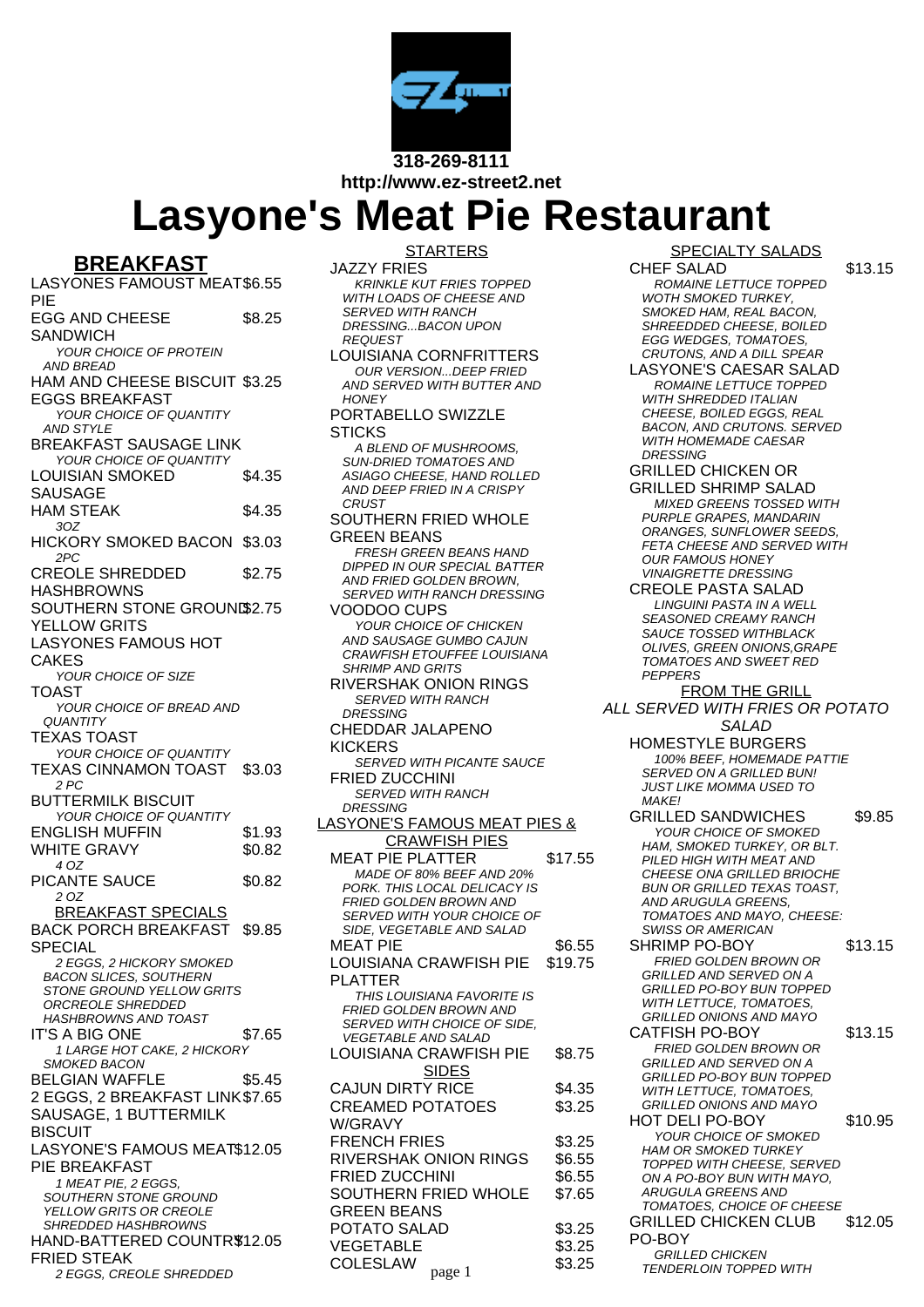

**http://www.ez-street2.net**

## **Lasyone's Meat Pie Restaurant**

## **BREAKFAST**

LASYONES FAMOUST MEAT \$6.55 PIE EGG AND CHEESE **SANDWICH** \$8.25 YOUR CHOICE OF PROTEIN AND BREAD HAM AND CHEESE BISCUIT \$3.25 EGGS BREAKFAST YOUR CHOICE OF QUANTITY AND STYLE BREAKFAST SAUSAGE LINK YOUR CHOICE OF QUANTITY LOUISIAN SMOKED SAUSAGE \$4.35 HAM STEAK \$4.35 3OZ HICKORY SMOKED BACON \$3.03 2PC CREOLE SHREDDED **HASHBROWNS** \$2.75 SOUTHERN STONE GROUND\$2.75 YELLOW GRITS LASYONES FAMOUS HOT CAKES YOUR CHOICE OF SIZE TOAST YOUR CHOICE OF BREAD AND **QUANTITY** TEXAS TOAST YOUR CHOICE OF QUANTITY TEXAS CINNAMON TOAST \$3.03 2 PC BUTTERMILK BISCUIT YOUR CHOICE OF QUANTITY ENGLISH MUFFIN \$1.93 WHITE GRAVY \$0.82 4 OZ PICANTE SAUCE \$0.82 2 OZ BREAKFAST SPECIALS BACK PORCH BREAKFAST **SPECIAL** \$9.85 2 EGGS, 2 HICKORY SMOKED BACON SLICES, SOUTHERN STONE GROUND YELLOW GRITS ORCREOLE SHREDDED HASHBROWNS AND TOAST IT'S A BIG ONE \$7.65 1 LARGE HOT CAKE, 2 HICKORY SMOKED BACON BELGIAN WAFFLE \$5.45 2 EGGS, 2 BREAKFAST LINK \$7.65 SAUSAGE, 1 BUTTERMILK **BISCUIT** LASYONE'S FAMOUS MEAT \$12.05 PIE BREAKFAST 1 MEAT PIE, 2 EGGS, SOUTHERN STONE GROUND YELLOW GRITS OR CREOLE SHREDDED HASHBROWNS HAND-BATTERED COUNTRY \$12.05 FRIED STEAK 2 EGGS, CREOLE SHREDDED

**STARTERS** 

- JAZZY FRIES KRINKLE KUT FRIES TOPPED WITH LOADS OF CHEESE AND SERVED WITH RANCH DRESSING...BACON UPON REQUEST
- LOUISIANA CORNFRITTERS OUR VERSION...DEEP FRIED AND SERVED WITH BUTTER AND **HONEY**

## PORTABELLO SWIZZLE **STICKS**

- A BLEND OF MUSHROOMS, SUN-DRIED TOMATOES AND ASIAGO CHEESE, HAND ROLLED AND DEEP FRIED IN A CRISPY **CRUST**
- SOUTHERN FRIED WHOLE GREEN BEANS FRESH GREEN BEANS HAND DIPPED IN OUR SPECIAL BATTER AND FRIED GOLDEN BROWN, SERVED WITH RANCH DRESSING VOODOO CUPS YOUR CHOICE OF CHICKEN AND SAUSAGE GUMBO CAJUN CRAWFISH ETOUFFEE LOUISIANA SHRIMP AND GRITS RIVERSHAK ONION RINGS SERVED WITH RANCH DRESSING CHEDDAR JALAPENO KICKERS **SERVED WITH PICANTE SAUCE** FRIED ZUCCHINI SERVED WITH RANCH **DRESSING** LASYONE'S FAMOUS MEAT PIES & CRAWFISH PIES MEAT PIE PLATTER \$17.55 MADE OF 80% BEEF AND 20% PORK. THIS LOCAL DELICACY IS FRIED GOLDEN BROWN AND SERVED WITH YOUR CHOICE OF SIDE, VEGETABLE AND SALAD  $MEAT$  PIE  $\$6.55$ LOUISIANA CRAWFISH PIE PLATTER \$19.75 THIS LOUISIANA FAVORITE IS FRIED GOLDEN BROWN AND SERVED WITH CHOICE OF SIDE, VEGETABLE AND SALAD LOUISIANA CRAWFISH PIE \$8.75 SIDES CAJUN DIRTY RICE \$4.35 CREAMED POTATOES W/GRAVY \$3.25 FRENCH FRIES \$3.25 RIVERSHAK ONION RINGS \$6.55 FRIED ZUCCHINI \$6.55 SOUTHERN FRIED WHOLE GREEN BEANS \$7.65 POTATO SALAD \$3.25 VEGETABLE \$3.25 COLESLAW  $_{page 1}$  \$3.25

## SPECIALTY SALADS

CHEF SALAD \$13.15 ROMAINE LETTUCE TOPPED WOTH SMOKED TURKEY, SMOKED HAM, REAL BACON, SHREEDDED CHEESE, BOILED EGG WEDGES, TOMATOES, CRUTONS, AND A DILL SPEAR

- LASYONE'S CAESAR SALAD ROMAINE LETTUCE TOPPED WITH SHREDDED ITALIAN CHEESE, BOILED EGGS, REAL BACON, AND CRUTONS. SERVED WITH HOMEMADE CAESAR **DRESSING**
- GRILLED CHICKEN OR GRILLED SHRIMP SALAD MIXED GREENS TOSSED WITH PURPLE GRAPES, MANDARIN ORANGES, SUNFLOWER SEEDS, FETA CHEESE AND SERVED WITH OUR FAMOUS HONEY VINAIGRETTE DRESSING
- CREOLE PASTA SALAD LINGUINI PASTA IN A WELL SEASONED CREAMY RANCH SAUCE TOSSED WITHBLACK OLIVES, GREEN ONIONS,GRAPE TOMATOES AND SWEET RED **PEPPERS**
- FROM THE GRILL ALL SERVED WITH FRIES OR POTATO SALAD HOMESTYLE BURGERS 100% BEEF, HOMEMADE PATTIE SERVED ON A GRILLED BUN!
	- JUST LIKE MOMMA USED TO MAKE! GRILLED SANDWICHES \$9.85 YOUR CHOICE OF SMOKED
	- HAM, SMOKED TURKEY, OR BLT. PILED HIGH WITH MEAT AND CHEESE ONA GRILLED BRIOCHE BUN OR GRILLED TEXAS TOAST, AND ARUGULA GREENS, TOMATOES AND MAYO, CHEESE:
	- SWISS OR AMERICAN SHRIMP PO-BOY \$13.15 FRIED GOLDEN BROWN OR GRILLED AND SERVED ON A GRILLED PO-BOY BUN TOPPED WITH LETTUCE, TOMATOES, GRILLED ONIONS AND MAYO CATFISH PO-BOY \$13.15 FRIED GOLDEN BROWN OR
	- GRILLED AND SERVED ON A GRILLED PO-BOY BUN TOPPED WITH LETTUCE, TOMATOES, GRILLED ONIONS AND MAYO HOT DELI PO-BOY \$10.95 YOUR CHOICE OF SMOKED HAM OR SMOKED TURKEY TOPPED WITH CHEESE, SERVED ON A PO-BOY BUN WITH MAYO, ARUGULA GREENS AND TOMATOES, CHOICE OF CHEESE GRILLED CHICKEN CLUB PO-BOY \$12.05 GRILLED CHICKEN **TENDERLOIN TOPPED WITH**